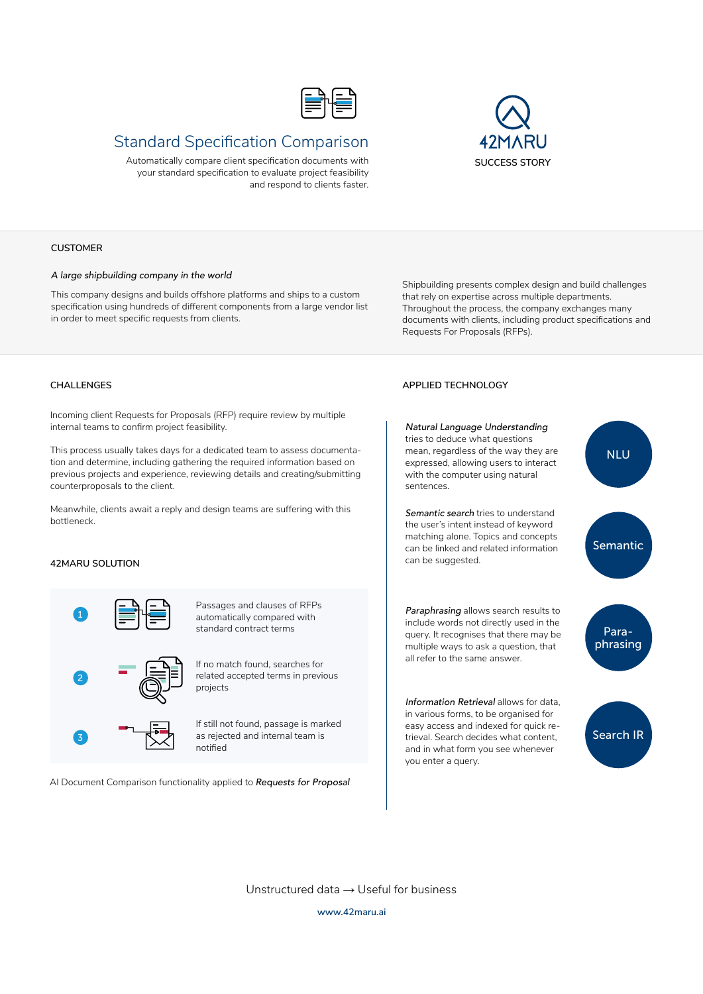

# Standard Specification Comparison

Automatically compare client specification documents with your standard specification to evaluate project feasibility and respond to clients faster.



#### **CUSTOMER**

#### *A large shipbuilding company in the world*

This company designs and builds offshore platforms and ships to a custom specification using hundreds of different components from a large vendor list in order to meet specific requests from clients.

Shipbuilding presents complex design and build challenges that rely on expertise across multiple departments. Throughout the process, the company exchanges many documents with clients, including product specifications and Requests For Proposals (RFPs).

Incoming client Requests for Proposals (RFP) require review by multiple internal teams to confirm project feasibility.

This process usually takes days for a dedicated team to assess documentation and determine, including gathering the required information based on previous projects and experience, reviewing details and creating/submitting counterproposals to the client.

Meanwhile, clients await a reply and design teams are suffering with this bottleneck.

## **42MARU SOLUTION**



Passages and clauses of RFPs automatically compared with standard contract terms

If no match found, searches for related accepted terms in previous projects

If still not found, passage is marked as rejected and internal team is notified

AI Document Comparison functionality applied to *Requests for Proposal*

### **CHALLENGES APPLIED TECHNOLOGY**



Unstructured data → Useful for business **www.42maru.ai**